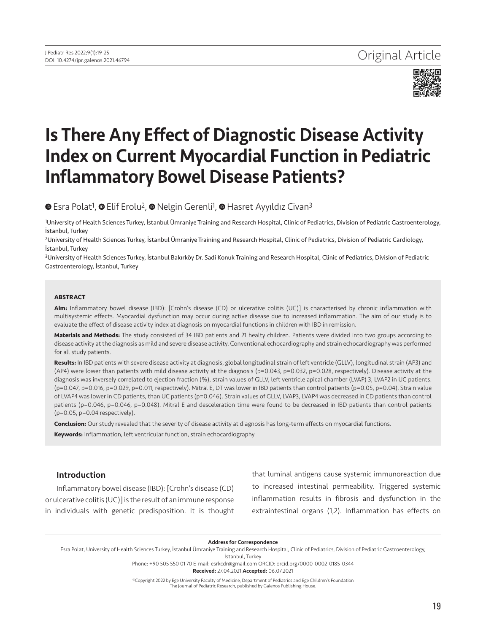

# Is There Any Effect of Diagnostic Disease Activity Index on Current Myocardial Function in Pediatric Inflammatory Bowel Disease Patients?

**©**Esra Polat<sup>1</sup>, **©** Elif Erolu<sup>2</sup>, **©** Nelgin Gerenli<sup>1</sup>, © Hasret Ayyıldız Civan<sup>3</sup>

1University of Health Sciences Turkey, İstanbul Ümraniye Training and Research Hospital, Clinic of Pediatrics, Division of Pediatric Gastroenterology, İstanbul, Turkey

<sup>2</sup>University of Health Sciences Turkey, İstanbul Ümraniye Training and Research Hospital, Clinic of Pediatrics, Division of Pediatric Cardiology, İstanbul, Turkey

3University of Health Sciences Turkey, İstanbul Bakırköy Dr. Sadi Konuk Training and Research Hospital, Clinic of Pediatrics, Division of Pediatric Gastroenterology, İstanbul, Turkey

#### **ABSTRACT**

**Aim:** Inflammatory bowel disease (IBD): [Crohn's disease (CD) or ulcerative colitis (UC)] is characterised by chronic inflammation with multisystemic effects. Myocardial dysfunction may occur during active disease due to increased inflammation. The aim of our study is to evaluate the effect of disease activity index at diagnosis on myocardial functions in children with IBD in remission.

**Materials and Methods:** The study consisted of 34 IBD patients and 21 healty children. Patients were divided into two groups according to disease activity at the diagnosis as mild and severe disease activity. Conventional echocardiography and strain echocardiography was performed for all study patients.

**Results:** In IBD patients with severe disease activity at diagnosis, global longitudinal strain of left ventricle (GLLV), longitudinal strain (AP3) and (AP4) were lower than patients with mild disease activity at the diagnosis (p=0.043, p=0.032, p=0.028, respectively). Disease activity at the diagnosis was inversely correlated to ejection fraction (%), strain values of GLLV, left ventricle apical chamber (LVAP) 3, LVAP2 in UC patients. (p=0.047, p=0.016, p=0.029, p=0.011, respectively). Mitral E, DT was lower in IBD patients than control patients (p=0.05, p=0.04). Strain value of LVAP4 was lower in CD patients, than UC patients (p=0.046). Strain values of GLLV, LVAP3, LVAP4 was decreased in CD patients than control patients (p=0.046, p=0.046, p=0.048). Mitral E and desceleration time were found to be decreased in IBD patients than control patients (p=0.05, p=0.04 respectively).

**Conclusion:** Our study revealed that the severity of disease activity at diagnosis has long-term effects on myocardial functions.

**Keywords:** Inflammation, left ventricular function, strain echocardiography

## Introduction

Inflammatory bowel disease (IBD): [Crohn's disease (CD) or ulcerative colitis (UC)] is the result of an immune response in individuals with genetic predisposition. It is thought

that luminal antigens cause systemic immunoreaction due to increased intestinal permeability. Triggered systemic inflammation results in fibrosis and dysfunction in the extraintestinal organs (1,2). Inflammation has effects on

Address for Correspondence

Esra Polat, University of Health Sciences Turkey, İstanbul Ümraniye Training and Research Hospital, Clinic of Pediatrics, Division of Pediatric Gastroenterology,

İstanbul, Turkey

Phone: +90 505 550 01 70 E-mail: esrkcdr@gmail.com ORCID: orcid.org/0000-0002-0185-0344 Received: 27.04.2021 Accepted: 06.07.2021

©Copyright 2022 by Ege University Faculty of Medicine, Department of Pediatrics and Ege Children's Foundation The Journal of Pediatric Research, published by Galenos Publishing House.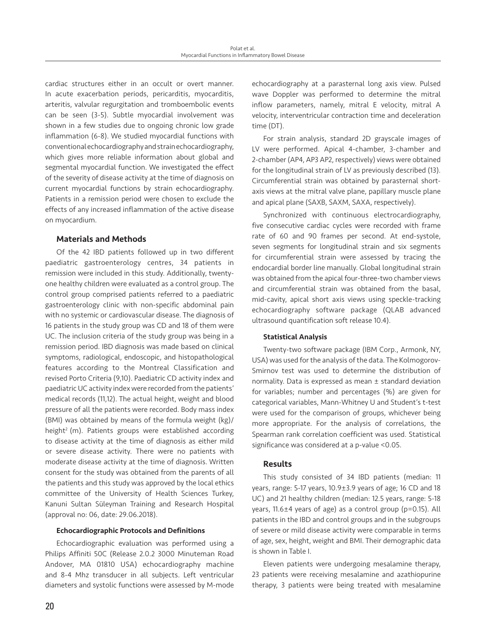cardiac structures either in an occult or overt manner. In acute exacerbation periods, pericarditis, myocarditis, arteritis, valvular regurgitation and tromboembolic events can be seen (3-5). Subtle myocardial involvement was shown in a few studies due to ongoing chronic low grade inflammation (6-8). We studied myocardial functions with conventional echocardiography and strain echocardiography, which gives more reliable information about global and segmental myocardial function. We investigated the effect of the severity of disease activity at the time of diagnosis on current myocardial functions by strain echocardiography. Patients in a remission period were chosen to exclude the effects of any increased inflammation of the active disease on myocardium.

# Materials and Methods

Of the 42 IBD patients followed up in two different paediatric gastroenterology centres, 34 patients in remission were included in this study. Additionally, twentyone healthy children were evaluated as a control group. The control group comprised patients referred to a paediatric gastroenterology clinic with non-specific abdominal pain with no systemic or cardiovascular disease. The diagnosis of 16 patients in the study group was CD and 18 of them were UC. The inclusion criteria of the study group was being in a remission period. IBD diagnosis was made based on clinical symptoms, radiological, endoscopic, and histopathological features according to the Montreal Classification and revised Porto Criteria (9,10). Paediatric CD activity index and paediatric UC activity index were recorded from the patients' medical records (11,12). The actual height, weight and blood pressure of all the patients were recorded. Body mass index (BMI) was obtained by means of the formula weight (kg)/ height<sup>2</sup> (m). Patients groups were established according to disease activity at the time of diagnosis as either mild or severe disease activity. There were no patients with moderate disease activity at the time of diagnosis. Written consent for the study was obtained from the parents of all the patients and this study was approved by the local ethics committee of the University of Health Sciences Turkey, Kanuni Sultan Süleyman Training and Research Hospital (approval no: 06, date: 29.06.2018).

## Echocardiographic Protocols and Definitions

Echocardiographic evaluation was performed using a Philips Affiniti 50C (Release 2.0.2 3000 Minuteman Road Andover, MA 01810 USA) echocardiography machine and 8-4 Mhz transducer in all subjects. Left ventricular diameters and systolic functions were assessed by M-mode

echocardiography at a parasternal long axis view. Pulsed wave Doppler was performed to determine the mitral inflow parameters, namely, mitral E velocity, mitral A velocity, interventricular contraction time and deceleration time (DT).

For strain analysis, standard 2D grayscale images of LV were performed. Apical 4-chamber, 3-chamber and 2-chamber (AP4, AP3 AP2, respectively) views were obtained for the longitudinal strain of LV as previously described (13). Circumferential strain was obtained by parasternal shortaxis views at the mitral valve plane, papillary muscle plane and apical plane (SAXB, SAXM, SAXA, respectively).

Synchronized with continuous electrocardiography, five consecutive cardiac cycles were recorded with frame rate of 60 and 90 frames per second. At end-systole, seven segments for longitudinal strain and six segments for circumferential strain were assessed by tracing the endocardial border line manually. Global longitudinal strain was obtained from the apical four-three-two chamber views and circumferential strain was obtained from the basal, mid-cavity, apical short axis views using speckle-tracking echocardiography software package (QLAB advanced ultrasound quantification soft release 10.4).

## Statistical Analysis

Twenty-two software package (IBM Corp., Armonk, NY, USA) was used for the analysis of the data. The Kolmogorov-Smirnov test was used to determine the distribution of normality. Data is expressed as mean ± standard deviation for variables; number and percentages (%) are given for categorical variables, Mann-Whitney U and Student's t-test were used for the comparison of groups, whichever being more appropriate. For the analysis of correlations, the Spearman rank correlation coefficient was used. Statistical significance was considered at a p-value <0.05.

## Results

This study consisted of 34 IBD patients (median: 11 years, range: 5-17 years, 10.9±3.9 years of age; 16 CD and 18 UC) and 21 healthy children (median: 12.5 years, range: 5-18 years, 11.6±4 years of age) as a control group (p=0.15). All patients in the IBD and control groups and in the subgroups of severe or mild disease activity were comparable in terms of age, sex, height, weight and BMI. Their demographic data is shown in Table I.

Eleven patients were undergoing mesalamine therapy, 23 patients were receiving mesalamine and azathiopurine therapy, 3 patients were being treated with mesalamine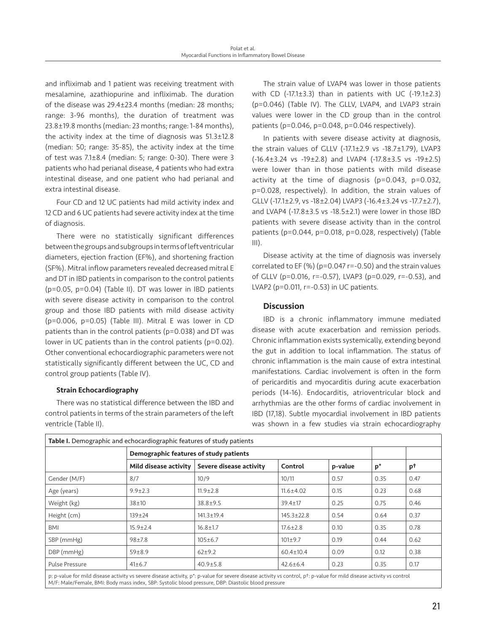and infliximab and 1 patient was receiving treatment with mesalamine, azathiopurine and infliximab. The duration of the disease was 29.4±23.4 months (median: 28 months; range: 3-96 months), the duration of treatment was 23.8±19.8 months (median: 23 months; range: 1-84 months), the activity index at the time of diagnosis was 51.3±12.8 (median: 50; range: 35-85), the activity index at the time of test was 7.1±8.4 (median: 5; range: 0-30). There were 3 patients who had perianal disease, 4 patients who had extra intestinal disease, and one patient who had perianal and extra intestinal disease.

Four CD and 12 UC patients had mild activity index and 12 CD and 6 UC patients had severe activity index at the time of diagnosis.

There were no statistically significant differences between the groups and subgroups in terms of left ventricular diameters, ejection fraction (EF%), and shortening fraction (SF%). Mitral inflow parameters revealed decreased mitral E and DT in IBD patients in comparison to the control patients (p=0.05, p=0.04) (Table II). DT was lower in IBD patients with severe disease activity in comparison to the control group and those IBD patients with mild disease activity (p=0.006, p=0.05) (Table III). Mitral E was lower in CD patients than in the control patients (p=0.038) and DT was lower in UC patients than in the control patients (p=0.02). Other conventional echocardiographic parameters were not statistically significantly different between the UC, CD and control group patients (Table IV).

## Strain Echocardiography

There was no statistical difference between the IBD and control patients in terms of the strain parameters of the left ventricle (Table II).

The strain value of LVAP4 was lower in those patients with CD  $(-17.1\pm3.3)$  than in patients with UC  $(-19.1\pm2.3)$ (p=0.046) (Table IV). The GLLV, LVAP4, and LVAP3 strain values were lower in the CD group than in the control patients (p=0.046, p=0.048, p=0.046 respectively).

In patients with severe disease activity at diagnosis, the strain values of GLLV (-17.1±2.9 vs -18.7±1.79), LVAP3 (-16.4±3.24 vs -19±2.8) and LVAP4 (-17.8±3.5 vs -19±2.5) were lower than in those patients with mild disease activity at the time of diagnosis (p=0.043, p=0.032, p=0.028, respectively). In addition, the strain values of GLLV (-17.1±2.9, vs -18±2.04) LVAP3 (-16.4±3.24 vs -17.7±2.7), and LVAP4 (-17.8±3.5 vs -18.5±2.1) were lower in those IBD patients with severe disease activity than in the control patients (p=0.044, p=0.018, p=0.028, respectively) (Table  $III$ ).

Disease activity at the time of diagnosis was inversely correlated to EF (%) (p=0.047 r=-0.50) and the strain values of GLLV (p=0.016, r=-0.57), LVAP3 (p=0.029, r=-0.53), and LVAP2 (p=0.011, r=-0.53) in UC patients.

## **Discussion**

IBD is a chronic inflammatory immune mediated disease with acute exacerbation and remission periods. Chronic inflammation exists systemically, extending beyond the gut in addition to local inflammation. The status of chronic inflammation is the main cause of extra intestinal manifestations. Cardiac involvement is often in the form of pericarditis and myocarditis during acute exacerbation periods (14-16). Endocarditis, atrioventricular block and arrhythmias are the other forms of cardiac involvement in IBD (17,18). Subtle myocardial involvement in IBD patients was shown in a few studies via strain echocardiography

| Table I. Demographic and echocardiographic features of study patients |                       |                                        |                  |         |       |      |  |
|-----------------------------------------------------------------------|-----------------------|----------------------------------------|------------------|---------|-------|------|--|
|                                                                       |                       | Demographic features of study patients |                  |         |       |      |  |
|                                                                       | Mild disease activity | Severe disease activity                | Control          | p-value | $p^*$ | рt   |  |
| Gender (M/F)                                                          | 8/7                   | 10/9                                   | 10/11            | 0.57    | 0.35  | 0.47 |  |
| Age (years)                                                           | $9.9 \pm 2.3$         | $11.9 \pm 2.8$                         | $11.6 \pm 4.02$  | 0.15    | 0.23  | 0.68 |  |
| Weight (kg)                                                           | $38 + 10$             | $38.8 + 9.5$                           | $39.4 \pm 17$    | 0.25    | 0.75  | 0.46 |  |
| Height (cm)                                                           | $139 \pm 24$          | $141.3 \pm 19.4$                       | $145.3 \pm 22.8$ | 0.54    | 0.64  | 0.37 |  |
| BMI                                                                   | $15.9 \pm 2.4$        | $16.8 \pm 1.7$                         | $17.6 \pm 2.8$   | 0.10    | 0.35  | 0.78 |  |
| SBP (mmHg)                                                            | $98 + 7.8$            | $105 \pm 6.7$                          | $101 \pm 9.7$    | 0.19    | 0.44  | 0.62 |  |
| DBP (mmHg)                                                            | $59 \pm 8.9$          | $62+9.2$                               | $60.4 \pm 10.4$  | 0.09    | 0.12  | 0.38 |  |
| Pulse Pressure                                                        | $41 \pm 6.7$          | $40.9 \pm 5.8$                         | $42.6 \pm 6.4$   | 0.23    | 0.35  | 0.17 |  |
|                                                                       |                       |                                        |                  |         |       |      |  |

p: p-value for mild disease activity vs severe disease activity, p\*: p-value for severe disease activity vs control, p†: p-value for mild disease activity vs control M/F: Male/Female, BMI: Body mass index, SBP: Systolic blood pressure, DBP: Diastolic blood pressure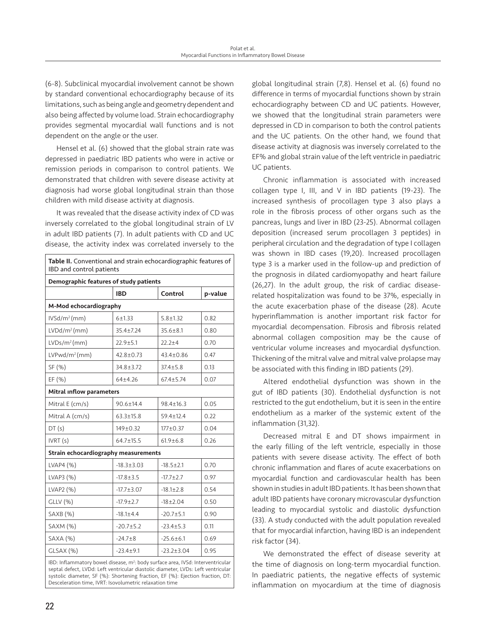(6-8). Subclinical myocardial involvement cannot be shown by standard conventional echocardiography because of its limitations, such as being angle and geometry dependent and also being affected by volume load. Strain echocardiography provides segmental myocardial wall functions and is not dependent on the angle or the user.

Hensel et al. (6) showed that the global strain rate was depressed in paediatric IBD patients who were in active or remission periods in comparison to control patients. We demonstrated that children with severe disease activity at diagnosis had worse global longitudinal strain than those children with mild disease activity at diagnosis.

It was revealed that the disease activity index of CD was inversely correlated to the global longitudinal strain of LV in adult IBD patients (7). In adult patients with CD and UC disease, the activity index was correlated inversely to the

| IBD and control patients               |                  |                                      |  |  |  |  |  |  |
|----------------------------------------|------------------|--------------------------------------|--|--|--|--|--|--|
| Demographic features of study patients |                  |                                      |  |  |  |  |  |  |
| <b>IBD</b>                             | Control          | p-value                              |  |  |  |  |  |  |
| M-Mod echocardiography                 |                  |                                      |  |  |  |  |  |  |
| $6 + 1.33$                             | $5.8 \pm 1.32$   | 0.82                                 |  |  |  |  |  |  |
| 35.4±7.24                              | $35.6 \pm 8.1$   | 0.80                                 |  |  |  |  |  |  |
| $22.9 \pm 5.1$                         | $22.2 + 4$       | 0.70                                 |  |  |  |  |  |  |
| $42.8 \pm 0.73$                        | $43.4 \pm 0.86$  | 0.47                                 |  |  |  |  |  |  |
| $34.8 \pm 3.72$                        | $37.4 \pm 5.8$   | 0.13                                 |  |  |  |  |  |  |
| $64 + 4.26$                            | $67.4 \pm 5.74$  | 0.07                                 |  |  |  |  |  |  |
| Mitral <b>inflow</b> parameters        |                  |                                      |  |  |  |  |  |  |
| 90.6±14.4                              | $98.4 \pm 16.3$  | 0.05                                 |  |  |  |  |  |  |
| $63.3 \pm 15.8$                        | $59.4 \pm 12.4$  | 0.22                                 |  |  |  |  |  |  |
| 149±0.32                               | $177 + 0.37$     | 0.04                                 |  |  |  |  |  |  |
| $64.7 \pm 15.5$                        | $61.9 \pm 6.8$   | 0.26                                 |  |  |  |  |  |  |
|                                        |                  |                                      |  |  |  |  |  |  |
| $-18.3 \pm 3.03$                       | $-18.5 \pm 2.1$  | 0.70                                 |  |  |  |  |  |  |
| $-17.8 \pm 3.5$                        | $-17.7 \pm 2.7$  | 0.97                                 |  |  |  |  |  |  |
| $-17.7 \pm 3.07$                       | $-18.1 \pm 2.8$  | 0.54                                 |  |  |  |  |  |  |
| $-17.9 \pm 2.7$                        | $-18 + 2.04$     | 0.50                                 |  |  |  |  |  |  |
| $-18.1 \pm 4.4$                        | $-20.7 + 5.1$    | 0.90                                 |  |  |  |  |  |  |
| $-20.7 + 5.2$                          | $-23.4 \pm 5.3$  | 0.11                                 |  |  |  |  |  |  |
| $-24.7 + 8$                            | $-25.6 \pm 6.1$  | 0.69                                 |  |  |  |  |  |  |
| $-23.4 \pm 9.1$                        | $-23.2 \pm 3.04$ | 0.95                                 |  |  |  |  |  |  |
|                                        |                  | Strain echocardiography measurements |  |  |  |  |  |  |

IBD: Inflammatory bowel disease, m<sup>2</sup>: body surface area, IVSd: Interventricular septal defect, LVDd: Left ventricular diastolic diameter, LVDs: Left ventricular systolic diameter, SF (%): Shortening fraction, EF (%): Ejection fraction, DT: Desceleration time, IVRT: Isovolumetric relaxation time

global longitudinal strain (7,8). Hensel et al. (6) found no difference in terms of myocardial functions shown by strain echocardiography between CD and UC patients. However, we showed that the longitudinal strain parameters were depressed in CD in comparison to both the control patients and the UC patients. On the other hand, we found that disease activity at diagnosis was inversely correlated to the EF% and global strain value of the left ventricle in paediatric UC patients.

Chronic inflammation is associated with increased collagen type I, III, and V in IBD patients (19-23). The increased synthesis of procollagen type 3 also plays a role in the fibrosis process of other organs such as the pancreas, lungs and liver in IBD (23-25). Abnormal collagen deposition (increased serum procollagen 3 peptides) in peripheral circulation and the degradation of type I collagen was shown in IBD cases (19,20). Increased procollagen type 3 is a marker used in the follow-up and prediction of the prognosis in dilated cardiomyopathy and heart failure (26,27). In the adult group, the risk of cardiac diseaserelated hospitalization was found to be 37%, especially in the acute exacerbation phase of the disease (28). Acute hyperinflammation is another important risk factor for myocardial decompensation. Fibrosis and fibrosis related abnormal collagen composition may be the cause of ventricular volume increases and myocardial dysfunction. Thickening of the mitral valve and mitral valve prolapse may be associated with this finding in IBD patients (29).

Altered endothelial dysfunction was shown in the gut of IBD patients (30). Endothelial dysfunction is not restricted to the gut endothelium, but it is seen in the entire endothelium as a marker of the systemic extent of the inflammation (31,32).

Decreased mitral E and DT shows impairment in the early filling of the left ventricle, especially in those patients with severe disease activity. The effect of both chronic inflammation and flares of acute exacerbations on myocardial function and cardiovascular health has been shown in studies in adult IBD patients. It has been shown that adult IBD patients have coronary microvascular dysfunction leading to myocardial systolic and diastolic dysfunction (33). A study conducted with the adult population revealed that for myocardial infarction, having IBD is an independent risk factor (34).

We demonstrated the effect of disease severity at the time of diagnosis on long-term myocardial function. In paediatric patients, the negative effects of systemic inflammation on myocardium at the time of diagnosis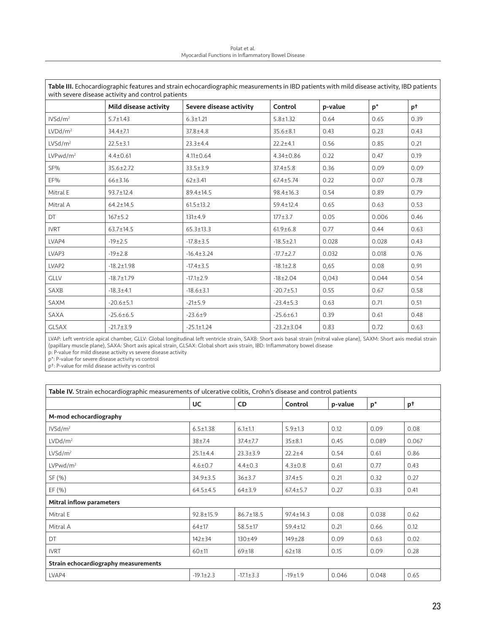| Polat et al.                                       |
|----------------------------------------------------|
| Myocardial Functions in Inflammatory Bowel Disease |

| Table III. Echocardiographic features and strain echocardiographic measurements in IBD patients with mild disease activity, IBD patients<br>with severe disease activity and control patients |                       |                         |                  |         |                |      |  |
|-----------------------------------------------------------------------------------------------------------------------------------------------------------------------------------------------|-----------------------|-------------------------|------------------|---------|----------------|------|--|
|                                                                                                                                                                                               | Mild disease activity | Severe disease activity | Control          | p-value | $\mathsf{p}^*$ | pt   |  |
| IVSd/m <sup>2</sup>                                                                                                                                                                           | $5.7 \pm 1.43$        | $6.3 \pm 1.21$          | $5.8 \pm 1.32$   | 0.64    | 0.65           | 0.39 |  |
| LVDd/m <sup>2</sup>                                                                                                                                                                           | $34.4 \pm 7.1$        | $37.8 \pm 4.8$          | $35.6 \pm 8.1$   | 0.43    | 0.23           | 0.43 |  |
| LVSd/m <sup>2</sup>                                                                                                                                                                           | $22.5 \pm 3.1$        | $23.3 + 4.4$            | $22.2 + 4.1$     | 0.56    | 0.85           | 0.21 |  |
| LVPwd/m <sup>2</sup>                                                                                                                                                                          | $4.4 \pm 0.61$        | $4.11 \pm 0.64$         | $4.34 \pm 0.86$  | 0.22    | 0.47           | 0.19 |  |
| SF%                                                                                                                                                                                           | $35.6 \pm 2.72$       | $33.5 \pm 3.9$          | $37.4 \pm 5.8$   | 0.36    | 0.09           | 0.09 |  |
| EF%                                                                                                                                                                                           | $66 \pm 3.16$         | $62 \pm 3.41$           | $67.4 \pm 5.74$  | 0.22    | 0.07           | 0.78 |  |
| Mitral E                                                                                                                                                                                      | $93.7 \pm 12.4$       | 89.4±14.5               | $98.4 \pm 16.3$  | 0.54    | 0.89           | 0.79 |  |
| Mitral A                                                                                                                                                                                      | $64.2 \pm 14.5$       | $61.5 \pm 13.2$         | $59.4 \pm 12.4$  | 0.65    | 0.63           | 0.53 |  |
| <b>DT</b>                                                                                                                                                                                     | $167 + 5.2$           | 131±4.9                 | $177 + 3.7$      | 0.05    | 0.006          | 0.46 |  |
| <b>IVRT</b>                                                                                                                                                                                   | $63.7 \pm 14.5$       | $65.3 \pm 13.3$         | $61.9 \pm 6.8$   | 0.77    | 0.44           | 0.63 |  |
| LVAP4                                                                                                                                                                                         | $-19\pm2.5$           | $-17.8 \pm 3.5$         | $-18.5 \pm 2.1$  | 0.028   | 0.028          | 0.43 |  |
| LVAP3                                                                                                                                                                                         | $-19\pm2.8$           | $-16.4 \pm 3.24$        | $-17.7 \pm 2.7$  | 0.032   | 0.018          | 0.76 |  |
| LVAP <sub>2</sub>                                                                                                                                                                             | $-18.2 \pm 1.98$      | $-17.4 \pm 3.5$         | $-18.1 \pm 2.8$  | 0,65    | 0.08           | 0.91 |  |
| <b>GLLV</b>                                                                                                                                                                                   | $-18.7 \pm 1.79$      | $-17.1 \pm 2.9$         | $-18 \pm 2.04$   | 0,043   | 0.044          | 0.54 |  |
| SAXB                                                                                                                                                                                          | $-18.3 \pm 4.1$       | $-18.6 \pm 3.1$         | $-20.7 + 5.1$    | 0.55    | 0.67           | 0.58 |  |
| SAXM                                                                                                                                                                                          | $-20.6 \pm 5.1$       | $-21±5.9$               | $-23.4 \pm 5.3$  | 0.63    | 0.71           | 0.51 |  |
| SAXA                                                                                                                                                                                          | $-25.6 \pm 6.5$       | $-23.6 \pm 9$           | $-25.6 \pm 6.1$  | 0.39    | 0.61           | 0.48 |  |
| <b>GLSAX</b>                                                                                                                                                                                  | $-21.7 \pm 3.9$       | $-25.1 \pm 1.24$        | $-23.2 \pm 3.04$ | 0.83    | 0.72           | 0.63 |  |

LVAP: Left ventricle apical chamber, GLLV: Global longitudinal left ventricle strain, SAXB: Short axis basal strain (mitral valve plane), SAXM: Short axis medial strain (papillary muscle plane), SAXA: Short axis apical strain, GLSAX: Global short axis strain, IBD: Inflammatory bowel disease

p: P-value for mild disease activity vs severe disease activity

p\*: P-value for severe disease activity vs control

p†: P-value for mild disease activity vs control

| Table IV. Strain echocardiographic measurements of ulcerative colitis, Crohn's disease and control patients |                 |                 |                 |         |       |       |  |  |
|-------------------------------------------------------------------------------------------------------------|-----------------|-----------------|-----------------|---------|-------|-------|--|--|
|                                                                                                             | <b>UC</b>       | <b>CD</b>       | Control         | p-value | $p^*$ | pt    |  |  |
| M-mod echocardiography                                                                                      |                 |                 |                 |         |       |       |  |  |
| IVSd/m <sup>2</sup>                                                                                         | $6.5 \pm 1.38$  | $6.1 \pm 1.1$   | $5.9 \pm 1.3$   | 0.12    | 0.09  | 0.08  |  |  |
| LVDd/m <sup>2</sup>                                                                                         | $38 + 7.4$      | $37.4 \pm 7.7$  | $35 + 8.1$      | 0.45    | 0.089 | 0.067 |  |  |
| LVSd/m <sup>2</sup>                                                                                         | $25.1 \pm 4.4$  | $23.3 \pm 3.9$  | $22.2 + 4$      | 0.54    | 0.61  | 0.86  |  |  |
| LVPwd/m <sup>2</sup>                                                                                        | $4.6 \pm 0.7$   | $4.4 \pm 0.3$   | $4.3 \pm 0.8$   | 0.61    | 0.77  | 0.43  |  |  |
| SF (%)                                                                                                      | $34.9 \pm 3.5$  | 36±3.7          | $37.4 + 5$      | 0.21    | 0.32  | 0.27  |  |  |
| EF (%)                                                                                                      | $64.5 \pm 4.5$  | 64±3.9          | $67.4 \pm 5.7$  | 0.27    | 0.33  | 0.41  |  |  |
| <b>Mitral inflow parameters</b>                                                                             |                 |                 |                 |         |       |       |  |  |
| Mitral E                                                                                                    | $92.8 \pm 15.9$ | $86.7 \pm 18.5$ | $97.4 \pm 14.3$ | 0.08    | 0.038 | 0.62  |  |  |
| Mitral A                                                                                                    | $64 + 17$       | $58.5 \pm 17$   | $59.4 \pm 12$   | 0.21    | 0.66  | 0.12  |  |  |
| DT                                                                                                          | $142 + 34$      | $130 + 49$      | $149 + 28$      | 0.09    | 0.63  | 0.02  |  |  |
| <b>IVRT</b>                                                                                                 | $60 + 11$       | $69 + 18$       | $62 + 18$       | 0.15    | 0.09  | 0.28  |  |  |
| Strain echocardiography measurements                                                                        |                 |                 |                 |         |       |       |  |  |
| LVAP4                                                                                                       | $-19.1 \pm 2.3$ | $-17.1 \pm 3.3$ | $-19±1.9$       | 0.046   | 0.048 | 0.65  |  |  |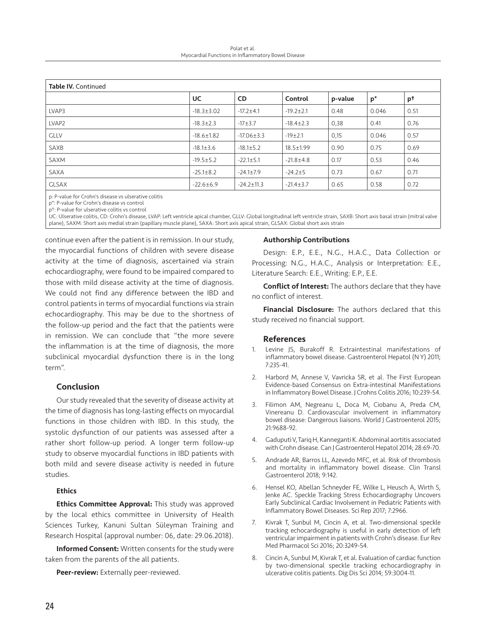Polat et al. Myocardial Functions in Inflammatory Bowel Disease

| <b>Table IV. Continued</b> |                  |                  |                 |         |       |      |  |
|----------------------------|------------------|------------------|-----------------|---------|-------|------|--|
|                            | UC               | CD.              | Control         | p-value | $p^*$ | pt   |  |
| LVAP3                      | $-18.3 \pm 3.02$ | $-17.2 + 4.1$    | $-19.2 \pm 2.1$ | 0.48    | 0.046 | 0.51 |  |
| LVAP <sub>2</sub>          | $-18.3 \pm 2.3$  | $-17+3.7$        | $-18.4 \pm 2.3$ | 0,38    | 0.41  | 0.76 |  |
| <b>GLLV</b>                | $-18.6 \pm 1.82$ | $-17.06 \pm 3.3$ | $-19\pm2.1$     | 0,15    | 0.046 | 0.57 |  |
| SAXB                       | $-18.1 \pm 3.6$  | $-18.1 \pm 5.2$  | $18.5 \pm 1.99$ | 0.90    | 0.75  | 0.69 |  |
| SAXM                       | $-19.5 \pm 5.2$  | $-22.1 \pm 5.1$  | $-21.8 \pm 4.8$ | 0.17    | 0.53  | 0.46 |  |
| SAXA                       | $-25.1 \pm 8.2$  | $-24.1 \pm 7.9$  | $-24.2 \pm 5$   | 0.73    | 0.67  | 0.71 |  |
| <b>GLSAX</b>               | $-22.6 \pm 6.9$  | $-24.2 \pm 11.3$ | $-21.4 \pm 3.7$ | 0.65    | 0.58  | 0.72 |  |

p: P-value for Crohn's disease vs ulserative colitis

p\*: P-value for Crohn's disease vs control

p†: P-value for ulserative colitis vs control

UC: Ulserative colitis, CD: Crohn's disease, LVAP: Left ventricle apical chamber, GLLV: Global longitudinal left ventricle strain, SAXB: Short axis basal strain (mitral valve plane), SAXM: Short axis medial strain (papillary muscle plane), SAXA: Short axis apical strain, GLSAX: Global short axis strain

continue even after the patient is in remission. In our study, the myocardial functions of children with severe disease activity at the time of diagnosis, ascertained via strain echocardiography, were found to be impaired compared to those with mild disease activity at the time of diagnosis. We could not find any difference between the IBD and control patients in terms of myocardial functions via strain echocardiography. This may be due to the shortness of the follow-up period and the fact that the patients were in remission. We can conclude that "the more severe the inflammation is at the time of diagnosis, the more subclinical myocardial dysfunction there is in the long term".

## Conclusion

Our study revealed that the severity of disease activity at the time of diagnosis has long-lasting effects on myocardial functions in those children with IBD. In this study, the systolic dysfunction of our patients was assessed after a rather short follow-up period. A longer term follow-up study to observe myocardial functions in IBD patients with both mild and severe disease activity is needed in future studies.

## **Ethics**

**Ethics Committee Approval:** This study was approved by the local ethics committee in University of Health Sciences Turkey, Kanuni Sultan Süleyman Training and Research Hospital (approval number: 06, date: 29.06.2018).

**Informed Consent:** Written consents for the study were taken from the parents of the all patients.

Peer-review: Externally peer-reviewed.

## Authorship Contributions

Design: E.P., E.E., N.G., H.A.C., Data Collection or Processing: N.G., H.A.C., Analysis or Interpretation: E.E., Literature Search: E.E., Writing: E.P., E.E.

Conflict of Interest: The authors declare that they have no conflict of interest.

Financial Disclosure: The authors declared that this study received no financial support.

#### References

- 1. Levine JS, Burakoff R. Extraintestinal manifestations of inflammatory bowel disease. Gastroenterol Hepatol (N Y) 2011; 7:235-41.
- 2. Harbord M, Annese V, Vavricka SR, et al. The First European Evidence-based Consensus on Extra-intestinal Manifestations in Inflammatory Bowel Disease. J Crohns Colitis 2016; 10:239-54.
- 3. Filimon AM, Negreanu L, Doca M, Ciobanu A, Preda CM, Vinereanu D. Cardiovascular involvement in inflammatory bowel disease: Dangerous liaisons. World J Gastroenterol 2015; 21:9688-92.
- 4. Gaduputi V, Tariq H, Kanneganti K. Abdominal aortitis associated with Crohn disease. Can J Gastroenterol Hepatol 2014; 28:69-70.
- 5. Andrade AR, Barros LL, Azevedo MFC, et al. Risk of thrombosis and mortality in inflammatory bowel disease. Clin Transl Gastroenterol 2018; 9:142.
- 6. Hensel KO, Abellan Schneyder FE, Wilke L, Heusch A, Wirth S, Jenke AC. Speckle Tracking Stress Echocardiography Uncovers Early Subclinical Cardiac Involvement in Pediatric Patients with Inflammatory Bowel Diseases. Sci Rep 2017; 7:2966.
- 7. Kivrak T, Sunbul M, Cincin A, et al. Two-dimensional speckle tracking echocardiography is useful in early detection of left ventricular impairment in patients with Crohn's disease. Eur Rev Med Pharmacol Sci 2016; 20:3249-54.
- 8. Cincin A, Sunbul M, Kivrak T, et al. Evaluation of cardiac function by two-dimensional speckle tracking echocardiography in ulcerative colitis patients. Dig Dis Sci 2014; 59:3004-11.